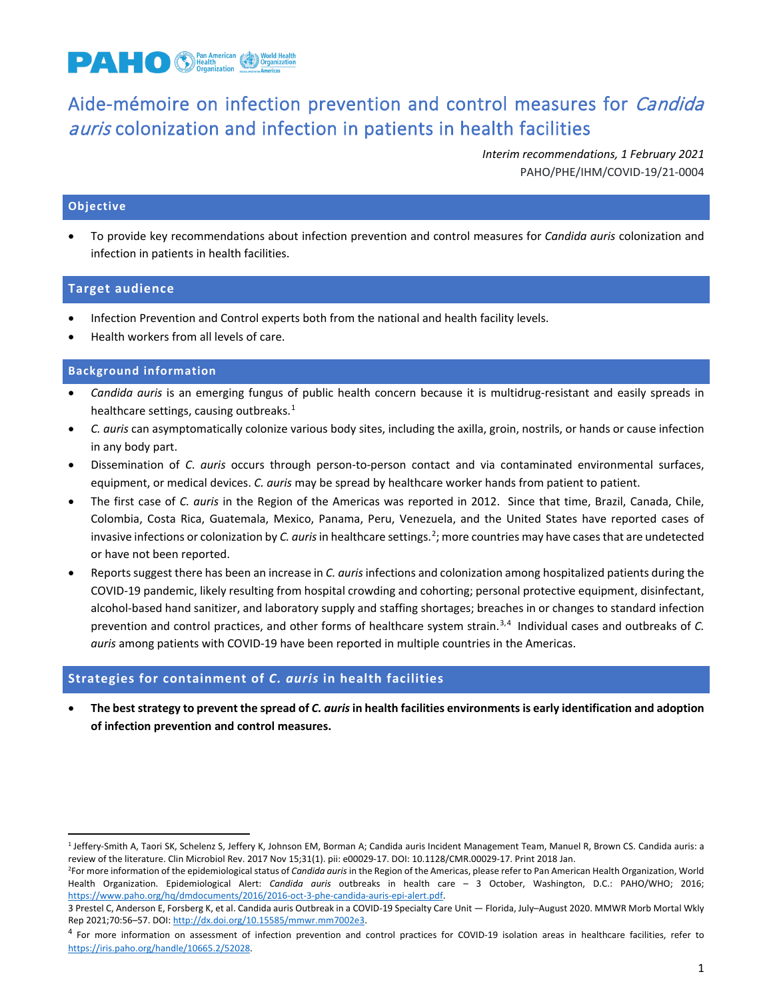

# Aide-mémoire on infection prevention and control measures for Candida auris colonization and infection in patients in health facilities

*Interim recommendations, 1 February 2021* PAHO/PHE/IHM/COVID-19/21-0004

# **Objective**

• To provide key recommendations about infection prevention and control measures for *Candida auris* colonization and infection in patients in health facilities.

## **Target audience**

- Infection Prevention and Control experts both from the national and health facility levels.
- Health workers from all levels of care.

### **Background information**

- *Candida auris* is an emerging fungus of public health concern because it is multidrug-resistant and easily spreads in healthcare settings, causing outbreaks.<sup>[1](#page-0-0)</sup>
- *C. auris* can asymptomatically colonize various body sites, including the axilla, groin, nostrils, or hands or cause infection in any body part.
- Dissemination of *C*. *auris* occurs through person-to-person contact and via contaminated environmental surfaces, equipment, or medical devices. *C. auris* may be spread by healthcare worker hands from patient to patient.
- The first case of *C. auris* in the Region of the Americas was reported in 2012. Since that time, Brazil, Canada, Chile, Colombia, Costa Rica, Guatemala, Mexico, Panama, Peru, Venezuela, and the United States have reported cases of invasive infections or colonization by *C. auris* in healthcare settings.<sup>[2](#page-0-1)</sup>; more countries may have cases that are undetected or have not been reported.
- Reports suggest there has been an increase in *C. auris* infections and colonization among hospitalized patients during the COVID-19 pandemic, likely resulting from hospital crowding and cohorting; personal protective equipment, disinfectant, alcohol-based hand sanitizer, and laboratory supply and staffing shortages; breaches in or changes to standard infection prevention and control practices, and other forms of healthcare system strain.<sup>[3,](#page-0-2)[4](#page-0-3)</sup> Individual cases and outbreaks of C. *auris* among patients with COVID-19 have been reported in multiple countries in the Americas.

# **Strategies for containment of** *C. auris* **in health facilities**

• **The best strategy to prevent the spread of** *C. auris* **in health facilities environments is early identification and adoption of infection prevention and control measures.**

<span id="page-0-0"></span><sup>&</sup>lt;sup>1</sup> Jeffery-Smith A, Taori SK, Schelenz S, Jeffery K, Johnson EM, Borman A; Candida auris Incident Management Team, Manuel R, Brown CS. Candida auris: a review of the literature. Clin Microbiol Rev. 2017 Nov 15;31(1). pii: e00029-17. DOI: 10.1128/CMR.00029-17. Print 2018 Jan.

<span id="page-0-1"></span><sup>&</sup>lt;sup>2</sup>For more information of the epidemiological status of *Candida auris* in the Region of the Americas, please refer to Pan American Health Organization, World Health Organization. Epidemiological Alert: *Candida auris* outbreaks in health care – 3 October, Washington, D.C.: PAHO/WHO; 2016; [https://www.paho.org/hq/dmdocuments/2016/2016-oct-3-phe-candida-auris-epi-alert.pdf.](https://www.paho.org/hq/dmdocuments/2016/2016-oct-3-phe-candida-auris-epi-alert.pdf) 

<span id="page-0-2"></span><sup>3</sup> Prestel C, Anderson E, Forsberg K, et al. Candida auris Outbreak in a COVID-19 Specialty Care Unit — Florida, July–August 2020. MMWR Morb Mortal Wkly Rep 2021;70:56–57. DOI[: http://dx.doi.org/10.15585/mmwr.mm7002e3.](http://dx.doi.org/10.15585/mmwr.mm7002e3) 

<span id="page-0-3"></span><sup>&</sup>lt;sup>4</sup> For more information on assessment of infection prevention and control practices for COVID-19 isolation areas in healthcare facilities, refer to [https://iris.paho.org/handle/10665.2/52028.](https://iris.paho.org/handle/10665.2/52028)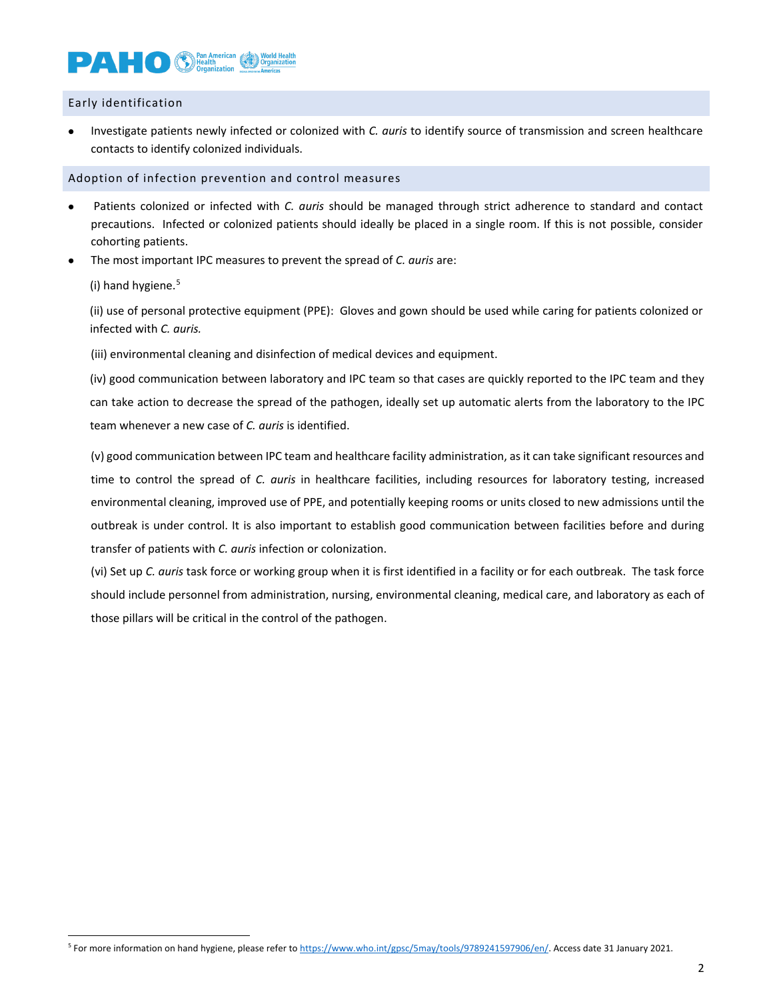# **DAL CO C** *Health*

Early identification

• Investigate patients newly infected or colonized with *C. auris* to identify source of transmission and screen healthcare contacts to identify colonized individuals.

Adoption of infection prevention and control measures

- Patients colonized or infected with *C. auris* should be managed through strict adherence to standard and contact precautions. Infected or colonized patients should ideally be placed in a single room. If this is not possible, consider cohorting patients.
- The most important IPC measures to prevent the spread of *C. auris* are:

(i) hand hygiene. [5](#page-1-0)

(ii) use of personal protective equipment (PPE): Gloves and gown should be used while caring for patients colonized or infected with *C. auris.*

(iii) environmental cleaning and disinfection of medical devices and equipment.

(iv) good communication between laboratory and IPC team so that cases are quickly reported to the IPC team and they can take action to decrease the spread of the pathogen, ideally set up automatic alerts from the laboratory to the IPC team whenever a new case of *C. auris* is identified.

(v) good communication between IPC team and healthcare facility administration, as it can take significant resources and time to control the spread of *C. auris* in healthcare facilities, including resources for laboratory testing, increased environmental cleaning, improved use of PPE, and potentially keeping rooms or units closed to new admissions until the outbreak is under control. It is also important to establish good communication between facilities before and during transfer of patients with *C. auris* infection or colonization.

(vi) Set up *C. auris* task force or working group when it is first identified in a facility or for each outbreak. The task force should include personnel from administration, nursing, environmental cleaning, medical care, and laboratory as each of those pillars will be critical in the control of the pathogen.

<span id="page-1-0"></span><sup>&</sup>lt;sup>5</sup> For more information on hand hygiene, please refer t[o https://www.who.int/gpsc/5may/tools/9789241597906/en/.](https://www.who.int/gpsc/5may/tools/9789241597906/en/) Access date 31 January 2021.